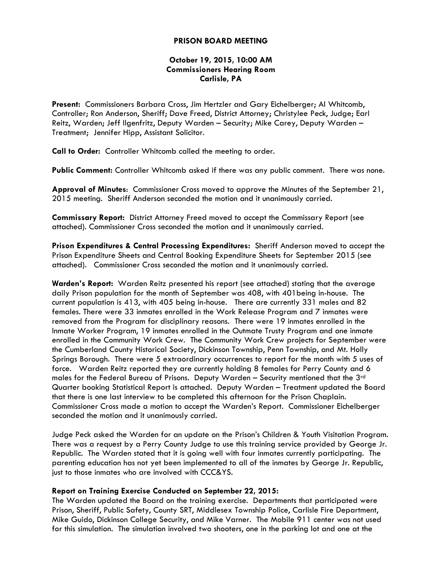## **PRISON BOARD MEETING**

# **October 19, 2015, 10:00 AM Commissioners Hearing Room Carlisle, PA**

**Present:** Commissioners Barbara Cross, Jim Hertzler and Gary Eichelberger; Al Whitcomb, Controller; Ron Anderson, Sheriff; Dave Freed, District Attorney; Christylee Peck, Judge; Earl Reitz, Warden; Jeff Ilgenfritz, Deputy Warden – Security; Mike Carey, Deputy Warden – Treatment; Jennifer Hipp, Assistant Solicitor.

**Call to Order:** Controller Whitcomb called the meeting to order.

**Public Comment:** Controller Whitcomb asked if there was any public comment. There was none.

**Approval of Minutes**: Commissioner Cross moved to approve the Minutes of the September 21, 2015 meeting. Sheriff Anderson seconded the motion and it unanimously carried.

**Commissary Report:** District Attorney Freed moved to accept the Commissary Report (see attached). Commissioner Cross seconded the motion and it unanimously carried.

**Prison Expenditures & Central Processing Expenditures:** Sheriff Anderson moved to accept the Prison Expenditure Sheets and Central Booking Expenditure Sheets for September 2015 (see attached). Commissioner Cross seconded the motion and it unanimously carried.

**Warden's Report:** Warden Reitz presented his report (see attached) stating that the average daily Prison population for the month of September was 408, with 401being in-house. The current population is 413, with 405 being in-house. There are currently 331 males and 82 females. There were 33 inmates enrolled in the Work Release Program and 7 inmates were removed from the Program for disciplinary reasons. There were 19 inmates enrolled in the Inmate Worker Program, 19 inmates enrolled in the Outmate Trusty Program and one inmate enrolled in the Community Work Crew. The Community Work Crew projects for September were the Cumberland County Historical Society, Dickinson Township, Penn Township, and Mt. Holly Springs Borough. There were 5 extraordinary occurrences to report for the month with 5 uses of force. Warden Reitz reported they are currently holding 8 females for Perry County and 6 males for the Federal Bureau of Prisons. Deputy Warden – Security mentioned that the 3rd Quarter booking Statistical Report is attached. Deputy Warden – Treatment updated the Board that there is one last interview to be completed this afternoon for the Prison Chaplain. Commissioner Cross made a motion to accept the Warden's Report. Commissioner Eichelberger seconded the motion and it unanimously carried.

Judge Peck asked the Warden for an update on the Prison's Children & Youth Visitation Program. There was a request by a Perry County Judge to use this training service provided by George Jr. Republic. The Warden stated that it is going well with four inmates currently participating. The parenting education has not yet been implemented to all of the inmates by George Jr. Republic, just to those inmates who are involved with CCC&YS.

## **Report on Training Exercise Conducted on September 22, 2015:**

The Warden updated the Board on the training exercise. Departments that participated were Prison, Sheriff, Public Safety, County SRT, Middlesex Township Police, Carlisle Fire Department, Mike Guido, Dickinson College Security, and Mike Varner. The Mobile 911 center was not used for this simulation. The simulation involved two shooters, one in the parking lot and one at the